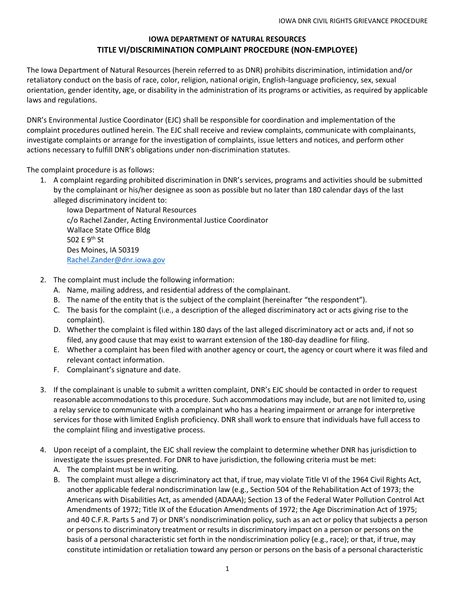## **IOWA DEPARTMENT OF NATURAL RESOURCES TITLE VI/DISCRIMINATION COMPLAINT PROCEDURE (NON-EMPLOYEE)**

The Iowa Department of Natural Resources (herein referred to as DNR) prohibits discrimination, intimidation and/or retaliatory conduct on the basis of race, color, religion, national origin, English-language proficiency, sex, sexual orientation, gender identity, age, or disability in the administration of its programs or activities, as required by applicable laws and regulations.

DNR's Environmental Justice Coordinator (EJC) shall be responsible for coordination and implementation of the complaint procedures outlined herein. The EJC shall receive and review complaints, communicate with complainants, investigate complaints or arrange for the investigation of complaints, issue letters and notices, and perform other actions necessary to fulfill DNR's obligations under non-discrimination statutes.

The complaint procedure is as follows:

1. A complaint regarding prohibited discrimination in DNR's services, programs and activities should be submitted by the complainant or his/her designee as soon as possible but no later than 180 calendar days of the last alleged discriminatory incident to:

Iowa Department of Natural Resources c/o Rachel Zander, Acting Environmental Justice Coordinator Wallace State Office Bldg 502 E 9<sup>th</sup> St Des Moines, IA 50319 [Rachel.Zander@dnr.iowa.gov](mailto:Rachel.Zander@dnr.iowa.gov)

- 2. The complaint must include the following information:
	- A. Name, mailing address, and residential address of the complainant.
	- B. The name of the entity that is the subject of the complaint (hereinafter "the respondent").
	- C. The basis for the complaint (i.e., a description of the alleged discriminatory act or acts giving rise to the complaint).
	- D. Whether the complaint is filed within 180 days of the last alleged discriminatory act or acts and, if not so filed, any good cause that may exist to warrant extension of the 180-day deadline for filing.
	- E. Whether a complaint has been filed with another agency or court, the agency or court where it was filed and relevant contact information.
	- F. Complainant's signature and date.
- 3. If the complainant is unable to submit a written complaint, DNR's EJC should be contacted in order to request reasonable accommodations to this procedure. Such accommodations may include, but are not limited to, using a relay service to communicate with a complainant who has a hearing impairment or arrange for interpretive services for those with limited English proficiency. DNR shall work to ensure that individuals have full access to the complaint filing and investigative process.
- 4. Upon receipt of a complaint, the EJC shall review the complaint to determine whether DNR has jurisdiction to investigate the issues presented. For DNR to have jurisdiction, the following criteria must be met:
	- A. The complaint must be in writing.
	- B. The complaint must allege a discriminatory act that, if true, may violate Title VI of the 1964 Civil Rights Act, another applicable federal nondiscrimination law (e.g., Section 504 of the Rehabilitation Act of 1973; the Americans with Disabilities Act, as amended (ADAAA); Section 13 of the Federal Water Pollution Control Act Amendments of 1972; Title IX of the Education Amendments of 1972; the Age Discrimination Act of 1975; and 40 C.F.R. Parts 5 and 7) or DNR's nondiscrimination policy, such as an act or policy that subjects a person or persons to discriminatory treatment or results in discriminatory impact on a person or persons on the basis of a personal characteristic set forth in the nondiscrimination policy (e.g., race); or that, if true, may constitute intimidation or retaliation toward any person or persons on the basis of a personal characteristic